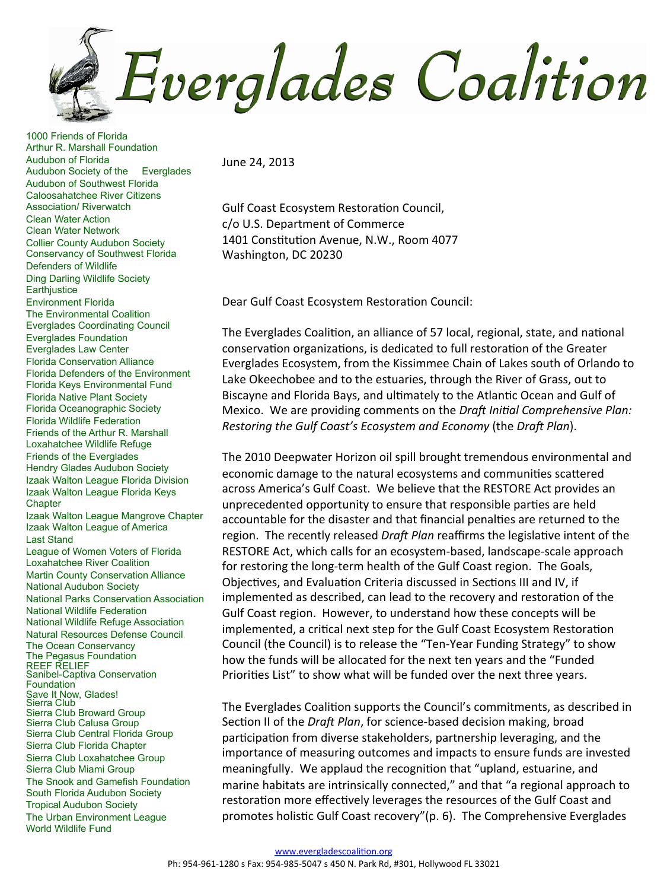Everglades Coalition

1000 Friends of Florida Arthur R. Marshall Foundation Audubon of Florida Audubon Society of the Everglades Audubon of Southwest Florida **Caloosahatchee River Citizens** Association/ Riverwatch **Clean Water Action Clean Water Network Collier County Audubon Society Conservancy of Southwest Florida Defenders of Wildlife Ding Darling Wildlife Society** Earthjustice **Environment Florida** The Environmental Coalition **Everglades Coordinating Council Everglades Foundation Everglades Law Center Florida Conservation Alliance** Florida Defenders of the Environment Florida Keys Environmental Fund **Florida Native Plant Society** Florida Oceanographic Society **Florida Wildlife Federation** Friends of the Arthur R. Marshall Loxahatchee Wildlife Refuge **Friends of the Everglades Hendry Glades Audubon Society** Izaak Walton League Florida Division Izaak Walton League Florida Keys Chapter Izaak Walton League Mangrove Chapter Izaak Walton League of America **Last Stand** League of Women Voters of Florida **Loxahatchee River Coalition Martin County Conservation Alliance National Audubon Society** National Parks Conservation Association **National Wildlife Federation** National Wildlife Refuge Association Natural Resources Defense Council The Ocean Conservancy The Pegasus Foundation **REEF RELIEF** Sanibel-Captiva Conservation Foundation Save It Now, Glades!<br>Sierra Club Sierra Club Broward Group Sierra Club Calusa Group Sierra Club Central Florida Group Sierra Club Florida Chapter Sierra Club Loxahatchee Group Sierra Club Miami Group The Snook and Gamefish Foundation South Florida Audubon Society **Tropical Audubon Society** The Urban Environment League World Wildlife Fund

June 24, 2013

Gulf Coast Ecosystem Restoration Council, c/o U.S. Department of Commerce 1401 Constitution Avenue, N.W., Room 4077 Washington, DC 20230

Dear Gulf Coast Ecosystem Restoration Council:

The Everglades Coalition, an alliance of 57 local, regional, state, and national conservation organizations, is dedicated to full restoration of the Greater Everglades Ecosystem, from the Kissimmee Chain of Lakes south of Orlando to Lake Okeechobee and to the estuaries, through the River of Grass, out to Biscayne and Florida Bays, and ultimately to the Atlantic Ocean and Gulf of Mexico. We are providing comments on the Draft Initial Comprehensive Plan: Restoring the Gulf Coast's Ecosystem and Economy (the Draft Plan).

The 2010 Deepwater Horizon oil spill brought tremendous environmental and economic damage to the natural ecosystems and communities scattered across America's Gulf Coast. We believe that the RESTORE Act provides an unprecedented opportunity to ensure that responsible parties are held accountable for the disaster and that financial penalties are returned to the region. The recently released Draft Plan reaffirms the legislative intent of the RESTORE Act, which calls for an ecosystem-based, landscape-scale approach for restoring the long-term health of the Gulf Coast region. The Goals, Objectives, and Evaluation Criteria discussed in Sections III and IV, if implemented as described, can lead to the recovery and restoration of the Gulf Coast region. However, to understand how these concepts will be implemented, a critical next step for the Gulf Coast Ecosystem Restoration Council (the Council) is to release the "Ten-Year Funding Strategy" to show how the funds will be allocated for the next ten years and the "Funded Priorities List" to show what will be funded over the next three years.

The Everglades Coalition supports the Council's commitments, as described in Section II of the Draft Plan, for science-based decision making, broad participation from diverse stakeholders, partnership leveraging, and the importance of measuring outcomes and impacts to ensure funds are invested meaningfully. We applaud the recognition that "upland, estuarine, and marine habitats are intrinsically connected," and that "a regional approach to restoration more effectively leverages the resources of the Gulf Coast and promotes holistic Gulf Coast recovery"(p. 6). The Comprehensive Everglades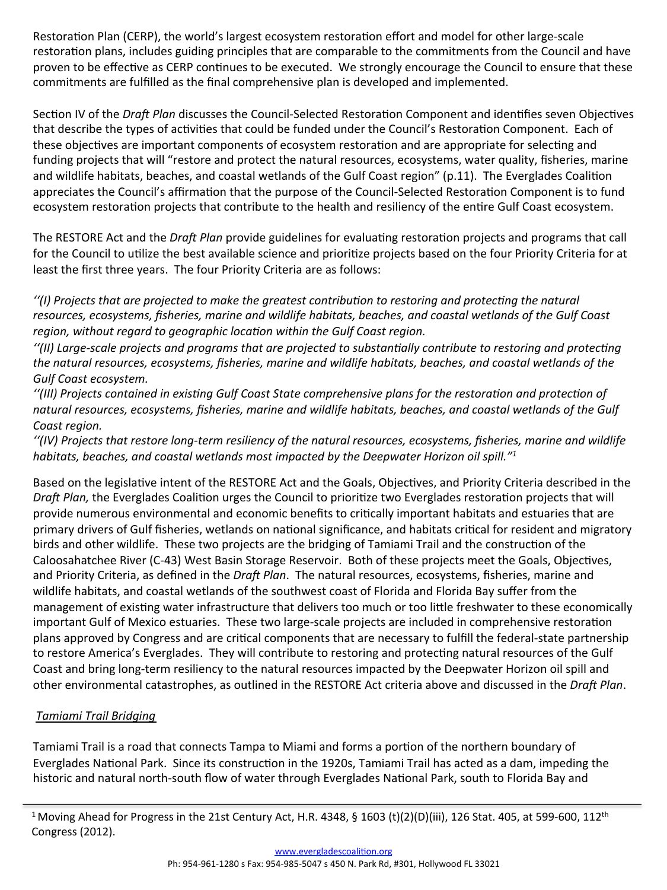Restoration Plan (CERP), the world's largest ecosystem restoration effort and model for other large-scale restoration plans, includes guiding principles that are comparable to the commitments from the Council and have proven to be effective as CERP continues to be executed. We strongly encourage the Council to ensure that these commitments are fulfilled as the final comprehensive plan is developed and implemented.

Section IV of the Draft Plan discusses the Council-Selected Restoration Component and identifies seven Objectives that describe the types of activities that could be funded under the Council's Restoration Component. Each of these objectives are important components of ecosystem restoration and are appropriate for selecting and funding projects that will "restore and protect the natural resources, ecosystems, water quality, fisheries, marine and wildlife habitats, beaches, and coastal wetlands of the Gulf Coast region" (p.11). The Everglades Coalition appreciates the Council's affirmation that the purpose of the Council-Selected Restoration Component is to fund ecosystem restoration projects that contribute to the health and resiliency of the entire Gulf Coast ecosystem.

The RESTORE Act and the Draft Plan provide guidelines for evaluating restoration projects and programs that call for the Council to utilize the best available science and prioritize projects based on the four Priority Criteria for at least the first three years. The four Priority Criteria are as follows:

"(I) Projects that are projected to make the greatest contribution to restoring and protecting the natural resources, ecosystems, fisheries, marine and wildlife habitats, beaches, and coastal wetlands of the Gulf Coast region, without regard to geographic location within the Gulf Coast region.

"(II) Large-scale projects and programs that are projected to substantially contribute to restoring and protecting the natural resources, ecosystems, fisheries, marine and wildlife habitats, beaches, and coastal wetlands of the Gulf Coast ecosystem.

"(III) Projects contained in existing Gulf Coast State comprehensive plans for the restoration and protection of natural resources, ecosystems, fisheries, marine and wildlife habitats, beaches, and coastal wetlands of the Gulf Coast region.

"(IV) Projects that restore long-term resiliency of the natural resources, ecosystems, fisheries, marine and wildlife habitats, beaches, and coastal wetlands most impacted by the Deepwater Horizon oil spill."<sup>1</sup>

Based on the legislative intent of the RESTORE Act and the Goals, Objectives, and Priority Criteria described in the Draft Plan, the Everglades Coalition urges the Council to prioritize two Everglades restoration projects that will provide numerous environmental and economic benefits to critically important habitats and estuaries that are primary drivers of Gulf fisheries, wetlands on national significance, and habitats critical for resident and migratory birds and other wildlife. These two projects are the bridging of Tamiami Trail and the construction of the Caloosahatchee River (C-43) West Basin Storage Reservoir. Both of these projects meet the Goals, Objectives, and Priority Criteria, as defined in the Draft Plan. The natural resources, ecosystems, fisheries, marine and wildlife habitats, and coastal wetlands of the southwest coast of Florida and Florida Bay suffer from the management of existing water infrastructure that delivers too much or too little freshwater to these economically important Gulf of Mexico estuaries. These two large-scale projects are included in comprehensive restoration plans approved by Congress and are critical components that are necessary to fulfill the federal-state partnership to restore America's Everglades. They will contribute to restoring and protecting natural resources of the Gulf Coast and bring long-term resiliency to the natural resources impacted by the Deepwater Horizon oil spill and other environmental catastrophes, as outlined in the RESTORE Act criteria above and discussed in the Draft Plan.

## Tamiami Trail Bridging

Tamiami Trail is a road that connects Tampa to Miami and forms a portion of the northern boundary of Everglades National Park. Since its construction in the 1920s, Tamiami Trail has acted as a dam, impeding the historic and natural north-south flow of water through Everglades National Park, south to Florida Bay and

<sup>&</sup>lt;sup>1</sup> Moving Ahead for Progress in the 21st Century Act, H.R. 4348, § 1603 (t)(2)(D)(iii), 126 Stat. 405, at 599-600, 112<sup>th</sup> Congress (2012).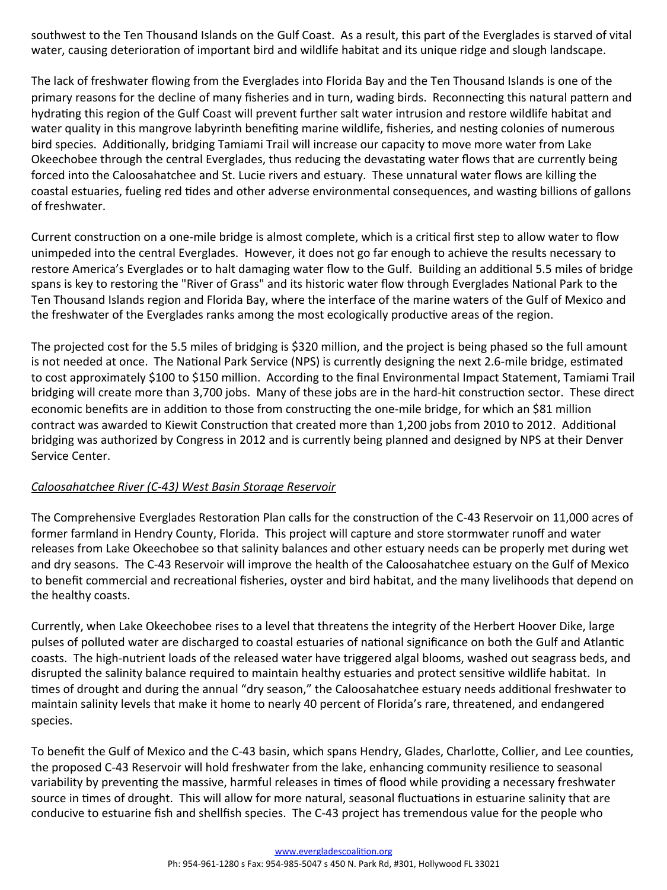southwest to the Ten Thousand Islands on the Gulf Coast. As a result, this part of the Everglades is starved of vital water, causing deterioration of important bird and wildlife habitat and its unique ridge and slough landscape.

The lack of freshwater flowing from the Everglades into Florida Bay and the Ten Thousand Islands is one of the primary reasons for the decline of many fisheries and in turn, wading birds. Reconnecting this natural pattern and hydrating this region of the Gulf Coast will prevent further salt water intrusion and restore wildlife habitat and water quality in this mangrove labyrinth benefiting marine wildlife, fisheries, and nesting colonies of numerous bird species. Additionally, bridging Tamiami Trail will increase our capacity to move more water from Lake Okeechobee through the central Everglades, thus reducing the devastating water flows that are currently being forced into the Caloosahatchee and St. Lucie rivers and estuary. These unnatural water flows are killing the coastal estuaries, fueling red tides and other adverse environmental consequences, and wasting billions of gallons of freshwater.

Current construction on a one-mile bridge is almost complete, which is a critical first step to allow water to flow unimpeded into the central Everglades. However, it does not go far enough to achieve the results necessary to restore America's Everglades or to halt damaging water flow to the Gulf. Building an additional 5.5 miles of bridge spans is key to restoring the "River of Grass" and its historic water flow through Everglades National Park to the Ten Thousand Islands region and Florida Bay, where the interface of the marine waters of the Gulf of Mexico and the freshwater of the Everglades ranks among the most ecologically productive areas of the region.

The projected cost for the 5.5 miles of bridging is \$320 million, and the project is being phased so the full amount is not needed at once. The National Park Service (NPS) is currently designing the next 2.6-mile bridge, estimated to cost approximately \$100 to \$150 million. According to the final Environmental Impact Statement, Tamiami Trail bridging will create more than 3,700 jobs. Many of these jobs are in the hard-hit construction sector. These direct economic benefits are in addition to those from constructing the one-mile bridge, for which an \$81 million contract was awarded to Kiewit Construction that created more than 1,200 jobs from 2010 to 2012. Additional bridging was authorized by Congress in 2012 and is currently being planned and designed by NPS at their Denver Service Center.

## Caloosahatchee River (C-43) West Basin Storage Reservoir

The Comprehensive Everglades Restoration Plan calls for the construction of the C-43 Reservoir on 11,000 acres of former farmland in Hendry County, Florida. This project will capture and store stormwater runoff and water releases from Lake Okeechobee so that salinity balances and other estuary needs can be properly met during wet and dry seasons. The C-43 Reservoir will improve the health of the Caloosahatchee estuary on the Gulf of Mexico to benefit commercial and recreational fisheries, oyster and bird habitat, and the many livelihoods that depend on the healthy coasts.

Currently, when Lake Okeechobee rises to a level that threatens the integrity of the Herbert Hoover Dike, large pulses of polluted water are discharged to coastal estuaries of national significance on both the Gulf and Atlantic coasts. The high-nutrient loads of the released water have triggered algal blooms, washed out seagrass beds, and disrupted the salinity balance required to maintain healthy estuaries and protect sensitive wildlife habitat. In times of drought and during the annual "dry season," the Caloosahatchee estuary needs additional freshwater to maintain salinity levels that make it home to nearly 40 percent of Florida's rare, threatened, and endangered species.

To benefit the Gulf of Mexico and the C-43 basin, which spans Hendry, Glades, Charlotte, Collier, and Lee counties, the proposed C-43 Reservoir will hold freshwater from the lake, enhancing community resilience to seasonal variability by preventing the massive, harmful releases in times of flood while providing a necessary freshwater source in times of drought. This will allow for more natural, seasonal fluctuations in estuarine salinity that are conducive to estuarine fish and shellfish species. The C-43 project has tremendous value for the people who